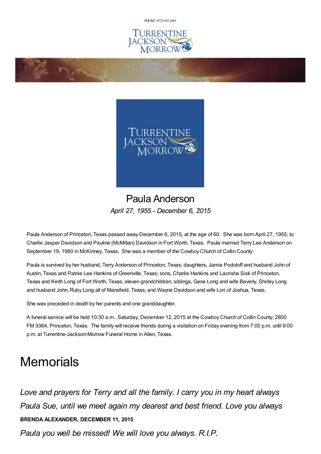PHONE: (972) [562-2601](tel:(972) 562-2601)





## Paula Anderson *April 27, 1955 - December 6, 2015*

Paula Anderson of Princeton, Texas passed away December 6, 2015, at the age of 60. She was born April 27, 1955, to Charlie Jasper Davidson and Pauline (McMillan) Davidson in Fort Worth, Texas. Paula married Terry Lee Anderson on September 19, 1980 in McKinney, Texas. She was a member of the Cowboy Church of Collin County.

Paula is survived by her husband, Terry Anderson of Princeton, Texas; daughters, Jamie Podoloff and husband John of Austin, Texas and Patnie Lee Hankins of Greenville, Texas; sons, Charlie Hankins and Lacrisha Sisk of Princeton, Texas and Keith Long of Fort Worth, Texas; eleven grandchildren; siblings, Gene Long and wife Beverly, Shirley Long and husband John, Ruby Long all of Mansfield, Texas, and Wayne Davidson and wife Lori of Joshua, Texas.

She was preceded in death by her parents and one granddaughter.

**Change** 

A funeral service will be held 10:30 a.m., Saturday, December 12, 2015 at the Cowboy Church of Collin County, 2800 FM 3364, Princeton, Texas. The family will receive friends during a visitation on Friday evening from 7:00 p.m. until 9:00 p.m. at Turrentine-Jackson-Morrow Funeral Home in Allen, Texas.

## **Memorials**

*Love and prayers for Terry and all the family. I carry you in my heart always Paula Sue, until we meet again my dearest and best friend. Love you always* **BRENDA ALEXANDER, DECEMBER 11, 2015**

*Paula you well be missed! We will love you always. R.I.P.*